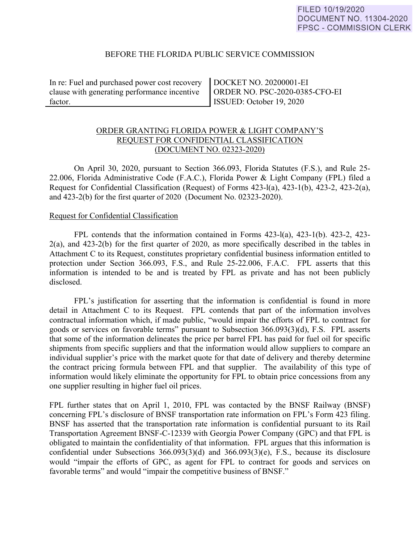# BEFORE THE FLORIDA PUBLIC SERVICE COMMISSION

In re: Fuel and purchased power cost recovery clause with generating performance incentive factor.

DOCKET NO. 20200001-EI ORDER NO. PSC-2020-0385-CFO-EI ISSUED: October 19, 2020

# ORDER GRANTING FLORIDA POWER & LIGHT COMPANY'S REQUEST FOR CONFIDENTIAL CLASSIFICATION (DOCUMENT NO. 02323-2020)

On April 30, 2020, pursuant to Section 366.093, Florida Statutes (F.S.), and Rule 25- 22.006, Florida Administrative Code (F.A.C.), Florida Power & Light Company (FPL) filed a Request for Confidential Classification (Request) of Forms 423-l(a), 423-1(b), 423-2, 423-2(a), and 423-2(b) for the first quarter of 2020 (Document No. 02323-2020).

### Request for Confidential Classification

 FPL contends that the information contained in Forms 423-l(a), 423-1(b). 423-2, 423- 2(a), and 423-2(b) for the first quarter of 2020, as more specifically described in the tables in Attachment C to its Request, constitutes proprietary confidential business information entitled to protection under Section 366.093, F.S., and Rule 25-22.006, F.A.C. FPL asserts that this information is intended to be and is treated by FPL as private and has not been publicly disclosed.

FPL's justification for asserting that the information is confidential is found in more detail in Attachment C to its Request. FPL contends that part of the information involves contractual information which, if made public, "would impair the efforts of FPL to contract for goods or services on favorable terms" pursuant to Subsection 366.093(3)(d), F.S. FPL asserts that some of the information delineates the price per barrel FPL has paid for fuel oil for specific shipments from specific suppliers and that the information would allow suppliers to compare an individual supplier's price with the market quote for that date of delivery and thereby determine the contract pricing formula between FPL and that supplier. The availability of this type of information would likely eliminate the opportunity for FPL to obtain price concessions from any one supplier resulting in higher fuel oil prices.

FPL further states that on April 1, 2010, FPL was contacted by the BNSF Railway (BNSF) concerning FPL's disclosure of BNSF transportation rate information on FPL's Form 423 filing. BNSF has asserted that the transportation rate information is confidential pursuant to its Rail Transportation Agreement BNSF-C-12339 with Georgia Power Company (GPC) and that FPL is obligated to maintain the confidentiality of that information. FPL argues that this information is confidential under Subsections 366.093(3)(d) and 366.093(3)(e), F.S., because its disclosure would "impair the efforts of GPC, as agent for FPL to contract for goods and services on favorable terms" and would "impair the competitive business of BNSF."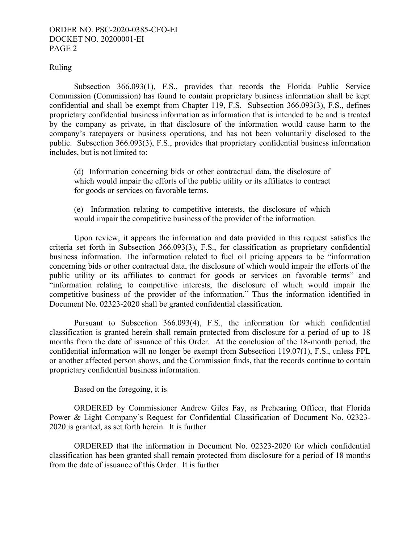## ORDER NO. PSC-2020-0385-CFO-EI DOCKET NO. 20200001-EI PAGE 2

## Ruling

Subsection 366.093(1), F.S., provides that records the Florida Public Service Commission (Commission) has found to contain proprietary business information shall be kept confidential and shall be exempt from Chapter 119, F.S. Subsection 366.093(3), F.S., defines proprietary confidential business information as information that is intended to be and is treated by the company as private, in that disclosure of the information would cause harm to the company's ratepayers or business operations, and has not been voluntarily disclosed to the public. Subsection 366.093(3), F.S., provides that proprietary confidential business information includes, but is not limited to:

(d) Information concerning bids or other contractual data, the disclosure of which would impair the efforts of the public utility or its affiliates to contract for goods or services on favorable terms.

(e) Information relating to competitive interests, the disclosure of which would impair the competitive business of the provider of the information.

Upon review, it appears the information and data provided in this request satisfies the criteria set forth in Subsection 366.093(3), F.S., for classification as proprietary confidential business information. The information related to fuel oil pricing appears to be "information concerning bids or other contractual data, the disclosure of which would impair the efforts of the public utility or its affiliates to contract for goods or services on favorable terms" and "information relating to competitive interests, the disclosure of which would impair the competitive business of the provider of the information." Thus the information identified in Document No. 02323-2020 shall be granted confidential classification.

Pursuant to Subsection 366.093(4), F.S., the information for which confidential classification is granted herein shall remain protected from disclosure for a period of up to 18 months from the date of issuance of this Order. At the conclusion of the 18-month period, the confidential information will no longer be exempt from Subsection 119.07(1), F.S., unless FPL or another affected person shows, and the Commission finds, that the records continue to contain proprietary confidential business information.

Based on the foregoing, it is

 ORDERED by Commissioner Andrew Giles Fay, as Prehearing Officer, that Florida Power & Light Company's Request for Confidential Classification of Document No. 02323- 2020 is granted, as set forth herein. It is further

 ORDERED that the information in Document No. 02323-2020 for which confidential classification has been granted shall remain protected from disclosure for a period of 18 months from the date of issuance of this Order. It is further